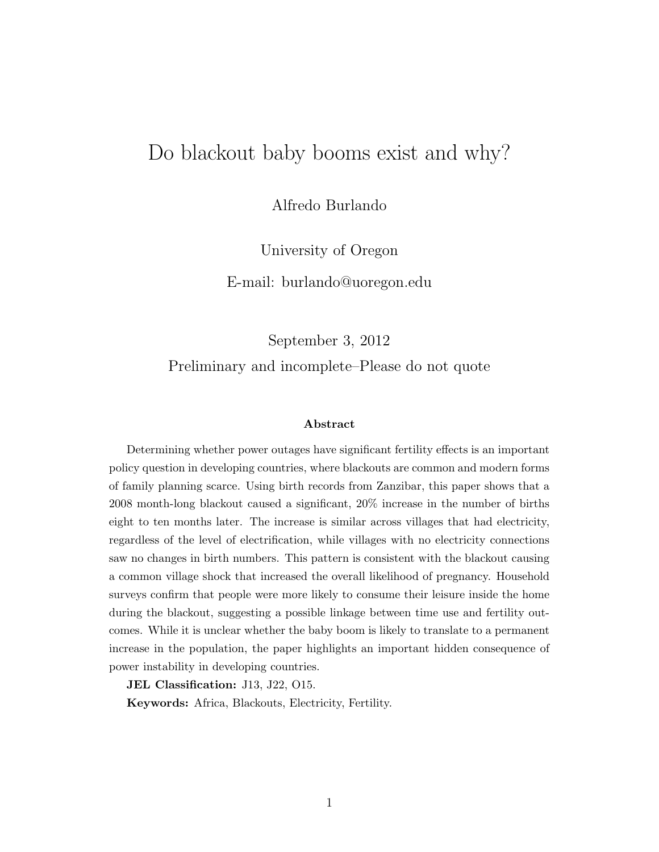# <span id="page-0-0"></span>Do blackout baby booms exist and why?

Alfredo Burlando

University of Oregon

E-mail: burlando@uoregon.edu

September 3, 2012

Preliminary and incomplete–Please do not quote

#### Abstract

Determining whether power outages have significant fertility effects is an important policy question in developing countries, where blackouts are common and modern forms of family planning scarce. Using birth records from Zanzibar, this paper shows that a 2008 month-long blackout caused a significant, 20% increase in the number of births eight to ten months later. The increase is similar across villages that had electricity, regardless of the level of electrification, while villages with no electricity connections saw no changes in birth numbers. This pattern is consistent with the blackout causing a common village shock that increased the overall likelihood of pregnancy. Household surveys confirm that people were more likely to consume their leisure inside the home during the blackout, suggesting a possible linkage between time use and fertility outcomes. While it is unclear whether the baby boom is likely to translate to a permanent increase in the population, the paper highlights an important hidden consequence of power instability in developing countries.

JEL Classification: J13, J22, O15.

Keywords: Africa, Blackouts, Electricity, Fertility.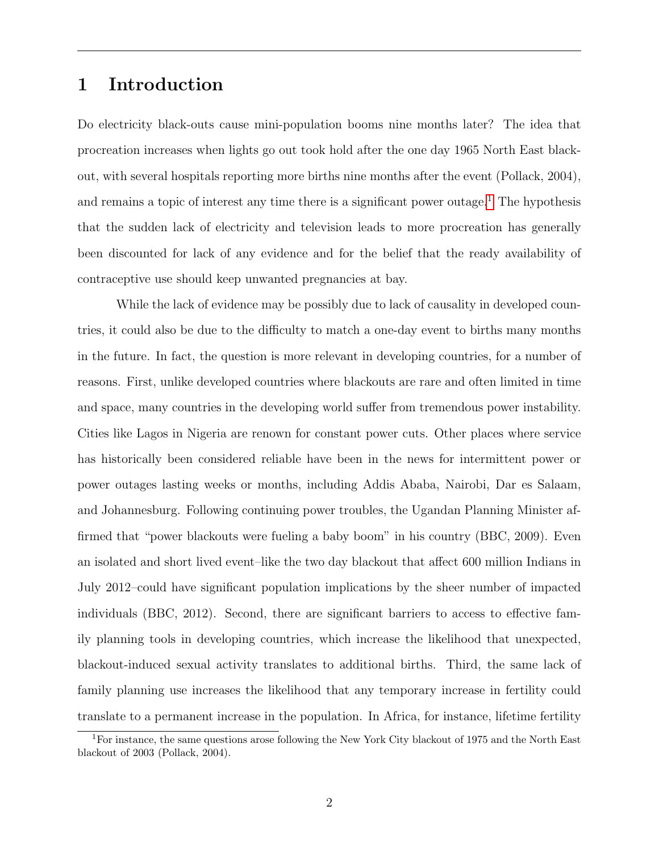## 1 Introduction

Do electricity black-outs cause mini-population booms nine months later? The idea that procreation increases when lights go out took hold after the one day 1965 North East blackout, with several hospitals reporting more births nine months after the event (Pollack, 2004), and remains a topic of interest any time there is a significant power outage.<sup>[1](#page-0-0)</sup> The hypothesis that the sudden lack of electricity and television leads to more procreation has generally been discounted for lack of any evidence and for the belief that the ready availability of contraceptive use should keep unwanted pregnancies at bay.

While the lack of evidence may be possibly due to lack of causality in developed countries, it could also be due to the difficulty to match a one-day event to births many months in the future. In fact, the question is more relevant in developing countries, for a number of reasons. First, unlike developed countries where blackouts are rare and often limited in time and space, many countries in the developing world suffer from tremendous power instability. Cities like Lagos in Nigeria are renown for constant power cuts. Other places where service has historically been considered reliable have been in the news for intermittent power or power outages lasting weeks or months, including Addis Ababa, Nairobi, Dar es Salaam, and Johannesburg. Following continuing power troubles, the Ugandan Planning Minister affirmed that "power blackouts were fueling a baby boom" in his country (BBC, 2009). Even an isolated and short lived event–like the two day blackout that affect 600 million Indians in July 2012–could have significant population implications by the sheer number of impacted individuals (BBC, 2012). Second, there are significant barriers to access to effective family planning tools in developing countries, which increase the likelihood that unexpected, blackout-induced sexual activity translates to additional births. Third, the same lack of family planning use increases the likelihood that any temporary increase in fertility could translate to a permanent increase in the population. In Africa, for instance, lifetime fertility

<sup>1</sup>For instance, the same questions arose following the New York City blackout of 1975 and the North East blackout of 2003 (Pollack, 2004).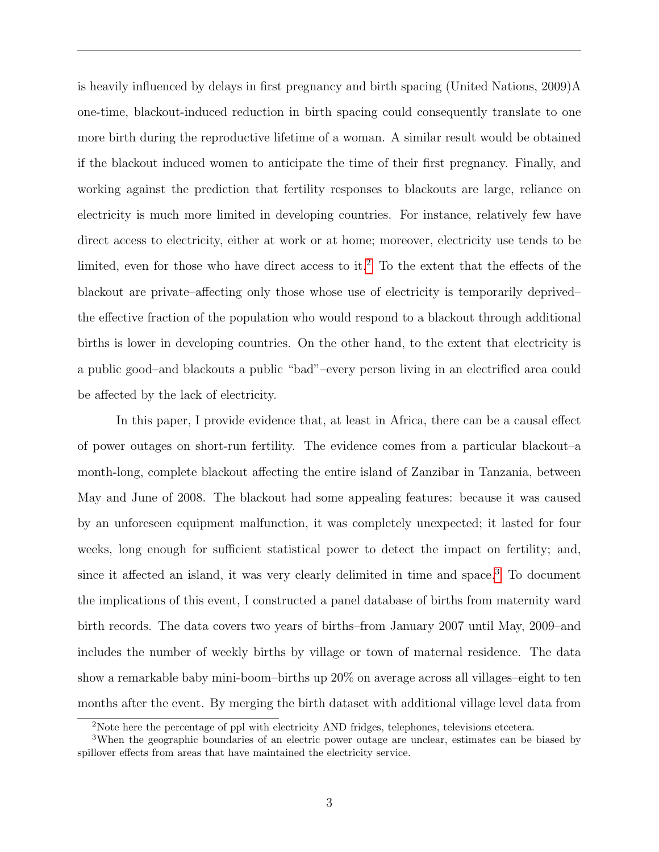is heavily influenced by delays in first pregnancy and birth spacing (United Nations, 2009)A one-time, blackout-induced reduction in birth spacing could consequently translate to one more birth during the reproductive lifetime of a woman. A similar result would be obtained if the blackout induced women to anticipate the time of their first pregnancy. Finally, and working against the prediction that fertility responses to blackouts are large, reliance on electricity is much more limited in developing countries. For instance, relatively few have direct access to electricity, either at work or at home; moreover, electricity use tends to be limited, even for those who have direct access to it.<sup>[2](#page-0-0)</sup> To the extent that the effects of the blackout are private–affecting only those whose use of electricity is temporarily deprived– the effective fraction of the population who would respond to a blackout through additional births is lower in developing countries. On the other hand, to the extent that electricity is a public good–and blackouts a public "bad"–every person living in an electrified area could be affected by the lack of electricity.

In this paper, I provide evidence that, at least in Africa, there can be a causal effect of power outages on short-run fertility. The evidence comes from a particular blackout–a month-long, complete blackout affecting the entire island of Zanzibar in Tanzania, between May and June of 2008. The blackout had some appealing features: because it was caused by an unforeseen equipment malfunction, it was completely unexpected; it lasted for four weeks, long enough for sufficient statistical power to detect the impact on fertility; and, since it affected an island, it was very clearly delimited in time and space.[3](#page-0-0) To document the implications of this event, I constructed a panel database of births from maternity ward birth records. The data covers two years of births–from January 2007 until May, 2009–and includes the number of weekly births by village or town of maternal residence. The data show a remarkable baby mini-boom–births up 20% on average across all villages–eight to ten months after the event. By merging the birth dataset with additional village level data from

<sup>2</sup>Note here the percentage of ppl with electricity AND fridges, telephones, televisions etcetera.

<sup>3</sup>When the geographic boundaries of an electric power outage are unclear, estimates can be biased by spillover effects from areas that have maintained the electricity service.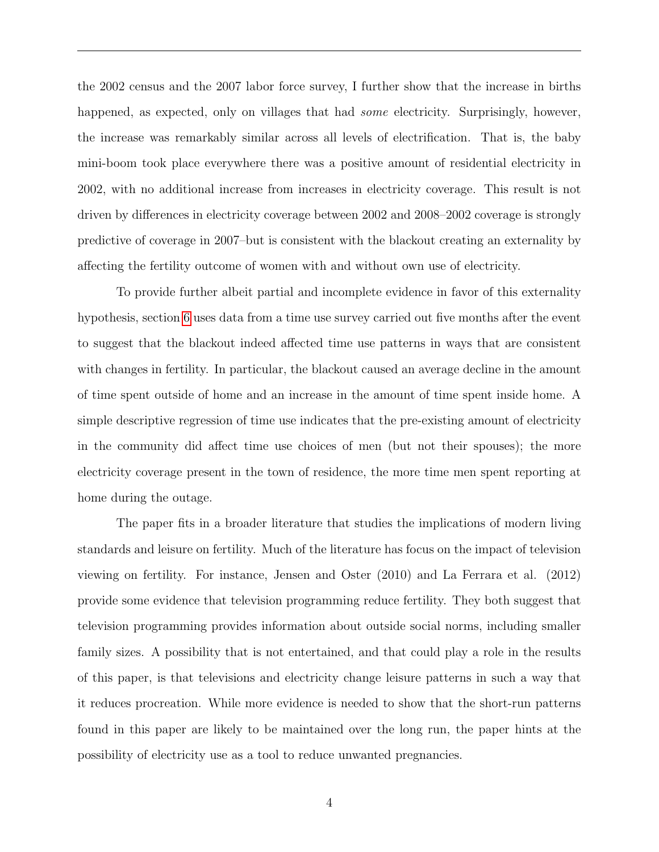the 2002 census and the 2007 labor force survey, I further show that the increase in births happened, as expected, only on villages that had *some* electricity. Surprisingly, however, the increase was remarkably similar across all levels of electrification. That is, the baby mini-boom took place everywhere there was a positive amount of residential electricity in 2002, with no additional increase from increases in electricity coverage. This result is not driven by differences in electricity coverage between 2002 and 2008–2002 coverage is strongly predictive of coverage in 2007–but is consistent with the blackout creating an externality by affecting the fertility outcome of women with and without own use of electricity.

To provide further albeit partial and incomplete evidence in favor of this externality hypothesis, section [6](#page-13-0) uses data from a time use survey carried out five months after the event to suggest that the blackout indeed affected time use patterns in ways that are consistent with changes in fertility. In particular, the blackout caused an average decline in the amount of time spent outside of home and an increase in the amount of time spent inside home. A simple descriptive regression of time use indicates that the pre-existing amount of electricity in the community did affect time use choices of men (but not their spouses); the more electricity coverage present in the town of residence, the more time men spent reporting at home during the outage.

The paper fits in a broader literature that studies the implications of modern living standards and leisure on fertility. Much of the literature has focus on the impact of television viewing on fertility. For instance, Jensen and Oster (2010) and La Ferrara et al. (2012) provide some evidence that television programming reduce fertility. They both suggest that television programming provides information about outside social norms, including smaller family sizes. A possibility that is not entertained, and that could play a role in the results of this paper, is that televisions and electricity change leisure patterns in such a way that it reduces procreation. While more evidence is needed to show that the short-run patterns found in this paper are likely to be maintained over the long run, the paper hints at the possibility of electricity use as a tool to reduce unwanted pregnancies.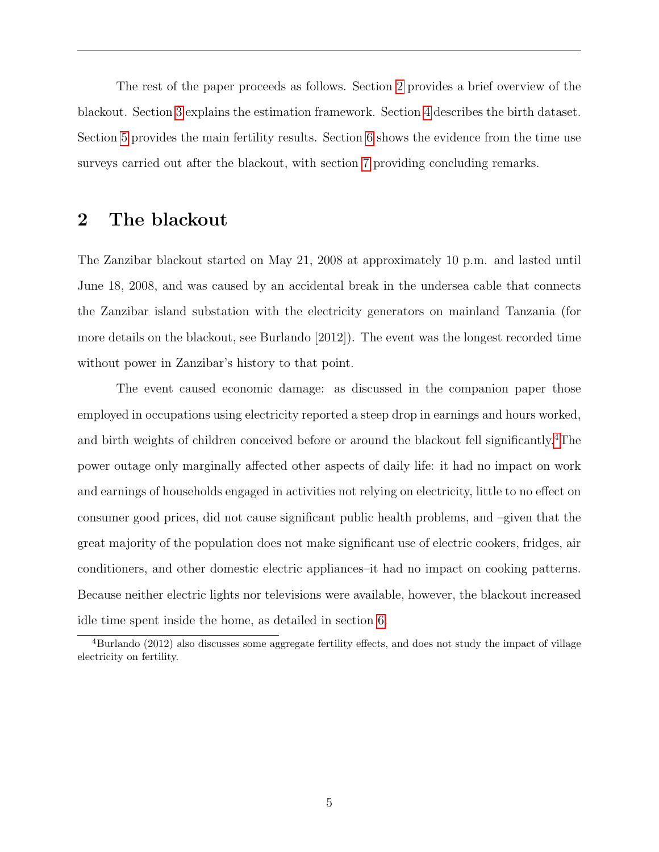The rest of the paper proceeds as follows. Section [2](#page-4-0) provides a brief overview of the blackout. Section [3](#page-5-0) explains the estimation framework. Section [4](#page-7-0) describes the birth dataset. Section [5](#page-9-0) provides the main fertility results. Section [6](#page-13-0) shows the evidence from the time use surveys carried out after the blackout, with section [7](#page-16-0) providing concluding remarks.

### <span id="page-4-0"></span>2 The blackout

The Zanzibar blackout started on May 21, 2008 at approximately 10 p.m. and lasted until June 18, 2008, and was caused by an accidental break in the undersea cable that connects the Zanzibar island substation with the electricity generators on mainland Tanzania (for more details on the blackout, see Burlando [2012]). The event was the longest recorded time without power in Zanzibar's history to that point.

The event caused economic damage: as discussed in the companion paper those employed in occupations using electricity reported a steep drop in earnings and hours worked, and birth weights of children conceived before or around the blackout fell significantly.<sup>[4](#page-0-0)</sup>The power outage only marginally affected other aspects of daily life: it had no impact on work and earnings of households engaged in activities not relying on electricity, little to no effect on consumer good prices, did not cause significant public health problems, and –given that the great majority of the population does not make significant use of electric cookers, fridges, air conditioners, and other domestic electric appliances–it had no impact on cooking patterns. Because neither electric lights nor televisions were available, however, the blackout increased idle time spent inside the home, as detailed in section [6.](#page-13-0)

<sup>&</sup>lt;sup>4</sup>Burlando (2012) also discusses some aggregate fertility effects, and does not study the impact of village electricity on fertility.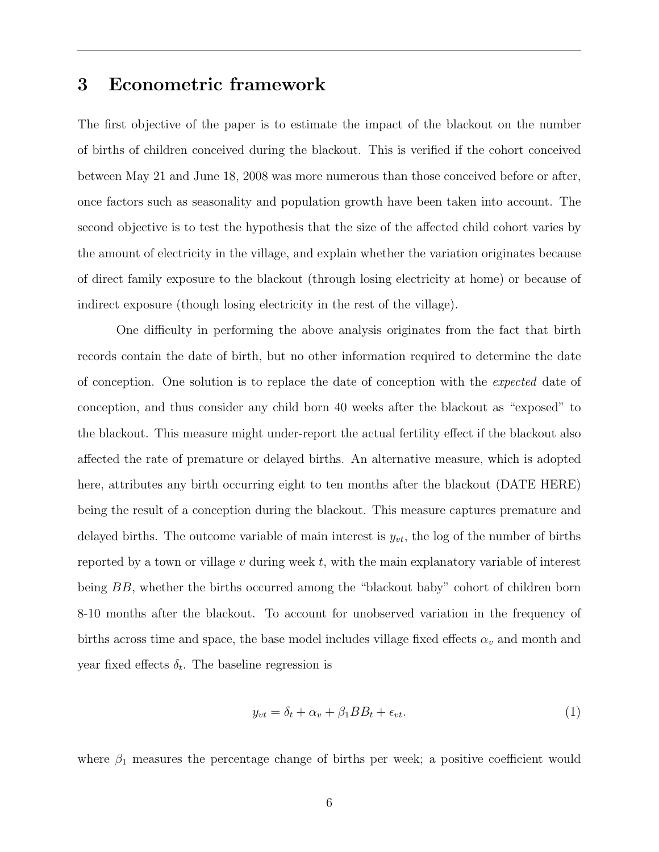### <span id="page-5-0"></span>3 Econometric framework

The first objective of the paper is to estimate the impact of the blackout on the number of births of children conceived during the blackout. This is verified if the cohort conceived between May 21 and June 18, 2008 was more numerous than those conceived before or after, once factors such as seasonality and population growth have been taken into account. The second objective is to test the hypothesis that the size of the affected child cohort varies by the amount of electricity in the village, and explain whether the variation originates because of direct family exposure to the blackout (through losing electricity at home) or because of indirect exposure (though losing electricity in the rest of the village).

One difficulty in performing the above analysis originates from the fact that birth records contain the date of birth, but no other information required to determine the date of conception. One solution is to replace the date of conception with the expected date of conception, and thus consider any child born 40 weeks after the blackout as "exposed" to the blackout. This measure might under-report the actual fertility effect if the blackout also affected the rate of premature or delayed births. An alternative measure, which is adopted here, attributes any birth occurring eight to ten months after the blackout (DATE HERE) being the result of a conception during the blackout. This measure captures premature and delayed births. The outcome variable of main interest is  $y_{vt}$ , the log of the number of births reported by a town or village  $v$  during week  $t$ , with the main explanatory variable of interest being BB, whether the births occurred among the "blackout baby" cohort of children born 8-10 months after the blackout. To account for unobserved variation in the frequency of births across time and space, the base model includes village fixed effects  $\alpha_v$  and month and year fixed effects  $\delta_t$ . The baseline regression is

$$
y_{vt} = \delta_t + \alpha_v + \beta_1 BB_t + \epsilon_{vt}.\tag{1}
$$

where  $\beta_1$  measures the percentage change of births per week; a positive coefficient would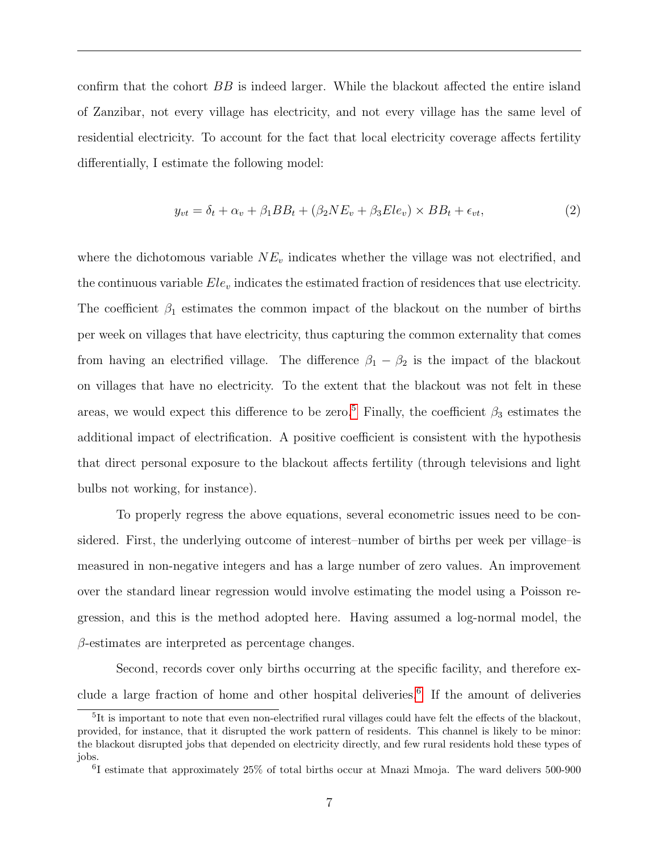confirm that the cohort BB is indeed larger. While the blackout affected the entire island of Zanzibar, not every village has electricity, and not every village has the same level of residential electricity. To account for the fact that local electricity coverage affects fertility differentially, I estimate the following model:

$$
y_{vt} = \delta_t + \alpha_v + \beta_1 BB_t + (\beta_2 NE_v + \beta_3 Ele_v) \times BB_t + \epsilon_{vt}, \tag{2}
$$

where the dichotomous variable  $NE<sub>v</sub>$  indicates whether the village was not electrified, and the continuous variable  $Ele_v$  indicates the estimated fraction of residences that use electricity. The coefficient  $\beta_1$  estimates the common impact of the blackout on the number of births per week on villages that have electricity, thus capturing the common externality that comes from having an electrified village. The difference  $\beta_1 - \beta_2$  is the impact of the blackout on villages that have no electricity. To the extent that the blackout was not felt in these areas, we would expect this difference to be zero.<sup>[5](#page-0-0)</sup> Finally, the coefficient  $\beta_3$  estimates the additional impact of electrification. A positive coefficient is consistent with the hypothesis that direct personal exposure to the blackout affects fertility (through televisions and light bulbs not working, for instance).

To properly regress the above equations, several econometric issues need to be considered. First, the underlying outcome of interest–number of births per week per village–is measured in non-negative integers and has a large number of zero values. An improvement over the standard linear regression would involve estimating the model using a Poisson regression, and this is the method adopted here. Having assumed a log-normal model, the  $\beta$ -estimates are interpreted as percentage changes.

Second, records cover only births occurring at the specific facility, and therefore ex-clude a large fraction of home and other hospital deliveries.<sup>[6](#page-0-0)</sup> If the amount of deliveries

<sup>&</sup>lt;sup>5</sup>It is important to note that even non-electrified rural villages could have felt the effects of the blackout, provided, for instance, that it disrupted the work pattern of residents. This channel is likely to be minor: the blackout disrupted jobs that depended on electricity directly, and few rural residents hold these types of jobs.

<sup>6</sup> I estimate that approximately 25% of total births occur at Mnazi Mmoja. The ward delivers 500-900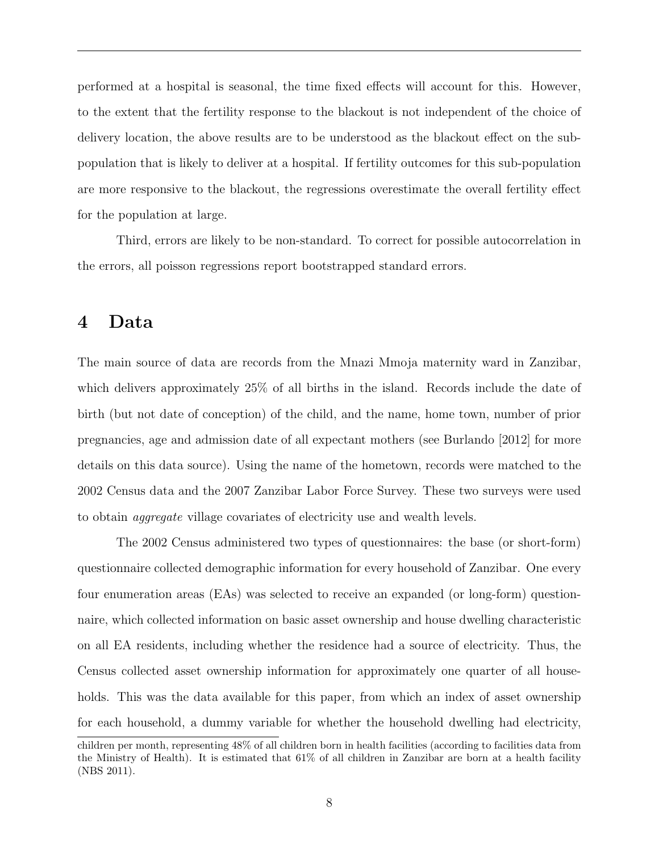performed at a hospital is seasonal, the time fixed effects will account for this. However, to the extent that the fertility response to the blackout is not independent of the choice of delivery location, the above results are to be understood as the blackout effect on the subpopulation that is likely to deliver at a hospital. If fertility outcomes for this sub-population are more responsive to the blackout, the regressions overestimate the overall fertility effect for the population at large.

Third, errors are likely to be non-standard. To correct for possible autocorrelation in the errors, all poisson regressions report bootstrapped standard errors.

### <span id="page-7-0"></span>4 Data

The main source of data are records from the Mnazi Mmoja maternity ward in Zanzibar, which delivers approximately 25% of all births in the island. Records include the date of birth (but not date of conception) of the child, and the name, home town, number of prior pregnancies, age and admission date of all expectant mothers (see Burlando [2012] for more details on this data source). Using the name of the hometown, records were matched to the 2002 Census data and the 2007 Zanzibar Labor Force Survey. These two surveys were used to obtain aggregate village covariates of electricity use and wealth levels.

The 2002 Census administered two types of questionnaires: the base (or short-form) questionnaire collected demographic information for every household of Zanzibar. One every four enumeration areas (EAs) was selected to receive an expanded (or long-form) questionnaire, which collected information on basic asset ownership and house dwelling characteristic on all EA residents, including whether the residence had a source of electricity. Thus, the Census collected asset ownership information for approximately one quarter of all households. This was the data available for this paper, from which an index of asset ownership for each household, a dummy variable for whether the household dwelling had electricity,

children per month, representing 48% of all children born in health facilities (according to facilities data from the Ministry of Health). It is estimated that 61% of all children in Zanzibar are born at a health facility (NBS 2011).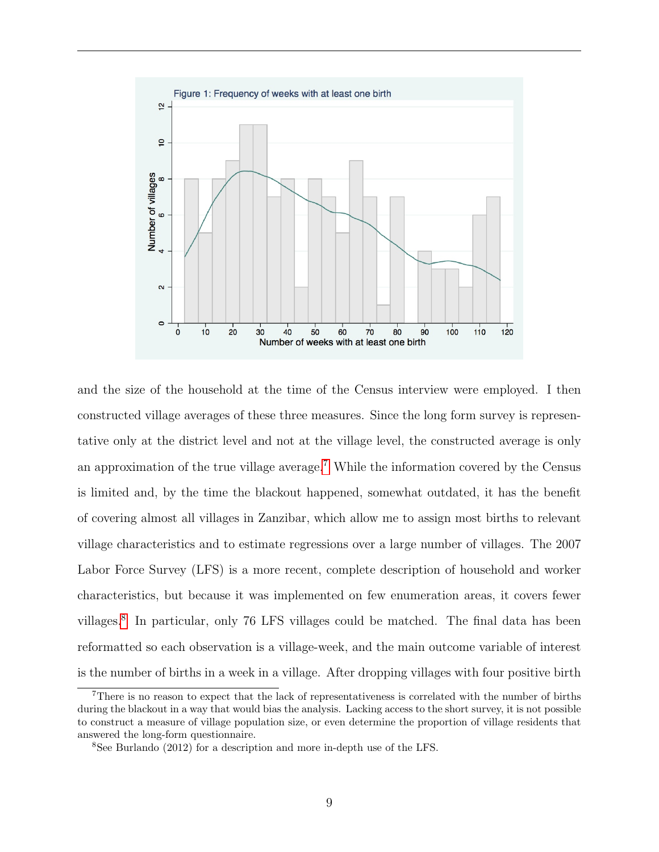

and the size of the household at the time of the Census interview were employed. I then constructed village averages of these three measures. Since the long form survey is representative only at the district level and not at the village level, the constructed average is only an approximation of the true village average.[7](#page-0-0) While the information covered by the Census is limited and, by the time the blackout happened, somewhat outdated, it has the benefit of covering almost all villages in Zanzibar, which allow me to assign most births to relevant village characteristics and to estimate regressions over a large number of villages. The 2007 Labor Force Survey (LFS) is a more recent, complete description of household and worker characteristics, but because it was implemented on few enumeration areas, it covers fewer villages.[8](#page-0-0) In particular, only 76 LFS villages could be matched. The final data has been reformatted so each observation is a village-week, and the main outcome variable of interest is the number of births in a week in a village. After dropping villages with four positive birth

<sup>7</sup>There is no reason to expect that the lack of representativeness is correlated with the number of births during the blackout in a way that would bias the analysis. Lacking access to the short survey, it is not possible to construct a measure of village population size, or even determine the proportion of village residents that answered the long-form questionnaire.

<sup>8</sup>See Burlando (2012) for a description and more in-depth use of the LFS.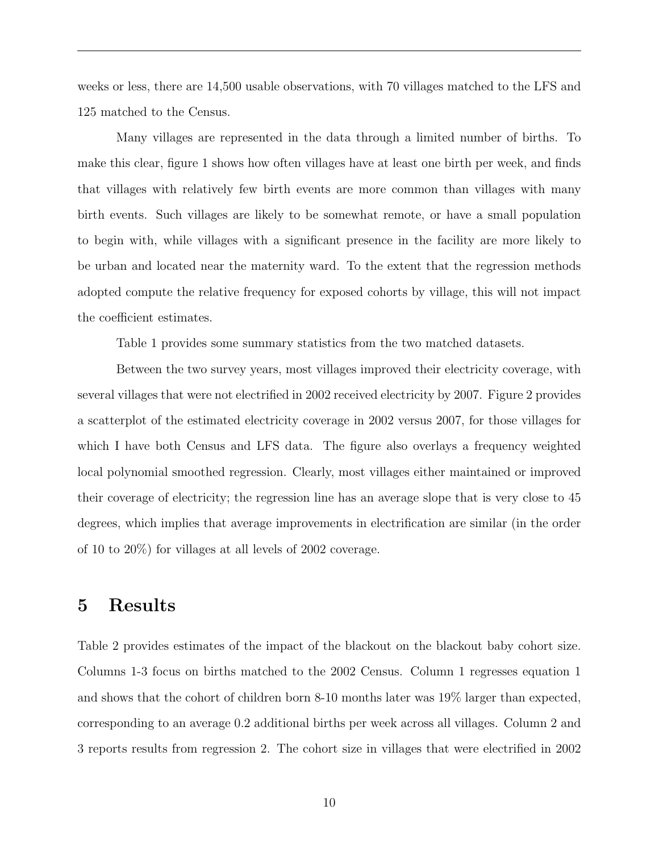weeks or less, there are 14,500 usable observations, with 70 villages matched to the LFS and 125 matched to the Census.

Many villages are represented in the data through a limited number of births. To make this clear, figure 1 shows how often villages have at least one birth per week, and finds that villages with relatively few birth events are more common than villages with many birth events. Such villages are likely to be somewhat remote, or have a small population to begin with, while villages with a significant presence in the facility are more likely to be urban and located near the maternity ward. To the extent that the regression methods adopted compute the relative frequency for exposed cohorts by village, this will not impact the coefficient estimates.

Table 1 provides some summary statistics from the two matched datasets.

Between the two survey years, most villages improved their electricity coverage, with several villages that were not electrified in 2002 received electricity by 2007. Figure 2 provides a scatterplot of the estimated electricity coverage in 2002 versus 2007, for those villages for which I have both Census and LFS data. The figure also overlays a frequency weighted local polynomial smoothed regression. Clearly, most villages either maintained or improved their coverage of electricity; the regression line has an average slope that is very close to 45 degrees, which implies that average improvements in electrification are similar (in the order of 10 to 20%) for villages at all levels of 2002 coverage.

### <span id="page-9-0"></span>5 Results

Table 2 provides estimates of the impact of the blackout on the blackout baby cohort size. Columns 1-3 focus on births matched to the 2002 Census. Column 1 regresses equation 1 and shows that the cohort of children born 8-10 months later was 19% larger than expected, corresponding to an average 0.2 additional births per week across all villages. Column 2 and 3 reports results from regression 2. The cohort size in villages that were electrified in 2002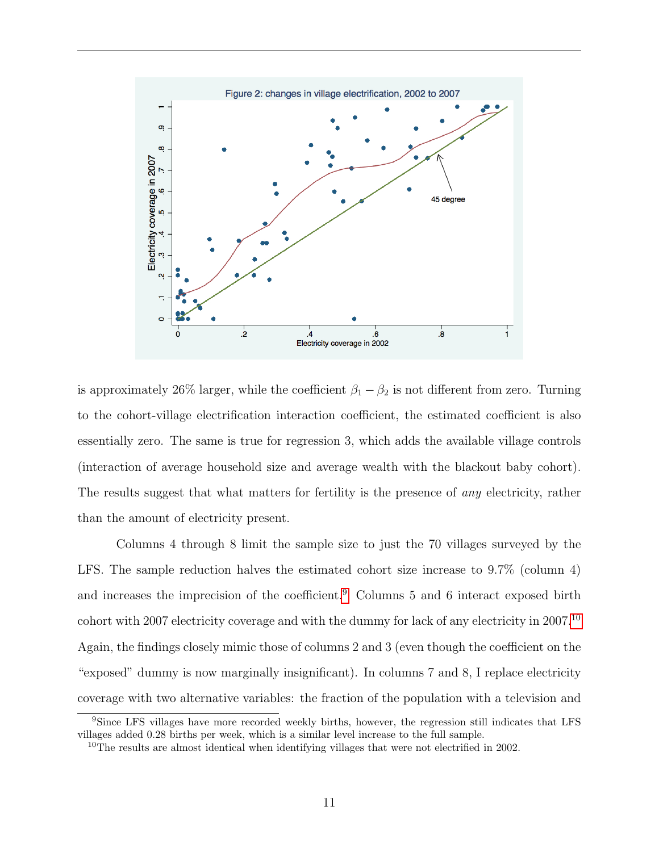

is approximately 26% larger, while the coefficient  $\beta_1 - \beta_2$  is not different from zero. Turning to the cohort-village electrification interaction coefficient, the estimated coefficient is also essentially zero. The same is true for regression 3, which adds the available village controls (interaction of average household size and average wealth with the blackout baby cohort). The results suggest that what matters for fertility is the presence of *any* electricity, rather than the amount of electricity present.

Columns 4 through 8 limit the sample size to just the 70 villages surveyed by the LFS. The sample reduction halves the estimated cohort size increase to 9.7% (column 4) and increases the imprecision of the coefficient.[9](#page-0-0) Columns 5 and 6 interact exposed birth cohort with 2007 electricity coverage and with the dummy for lack of any electricity in 2007.[10](#page-0-0) Again, the findings closely mimic those of columns 2 and 3 (even though the coefficient on the "exposed" dummy is now marginally insignificant). In columns 7 and 8, I replace electricity coverage with two alternative variables: the fraction of the population with a television and

<sup>&</sup>lt;sup>9</sup>Since LFS villages have more recorded weekly births, however, the regression still indicates that LFS villages added 0.28 births per week, which is a similar level increase to the full sample.

<sup>&</sup>lt;sup>10</sup>The results are almost identical when identifying villages that were not electrified in 2002.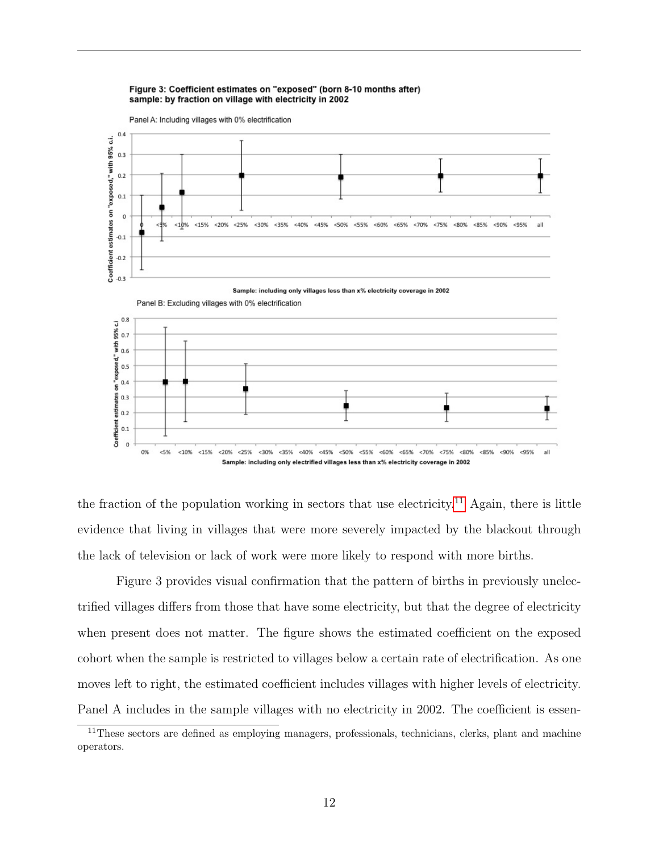#### Figure 3: Coefficient estimates on "exposed" (born 8-10 months after) sample: by fraction on village with electricity in 2002



the fraction of the population working in sectors that use electricity.<sup>[11](#page-0-0)</sup> Again, there is little evidence that living in villages that were more severely impacted by the blackout through the lack of television or lack of work were more likely to respond with more births.

Figure 3 provides visual confirmation that the pattern of births in previously unelectrified villages differs from those that have some electricity, but that the degree of electricity when present does not matter. The figure shows the estimated coefficient on the exposed cohort when the sample is restricted to villages below a certain rate of electrification. As one moves left to right, the estimated coefficient includes villages with higher levels of electricity. Panel A includes in the sample villages with no electricity in 2002. The coefficient is essen-

<sup>&</sup>lt;sup>11</sup>These sectors are defined as employing managers, professionals, technicians, clerks, plant and machine operators.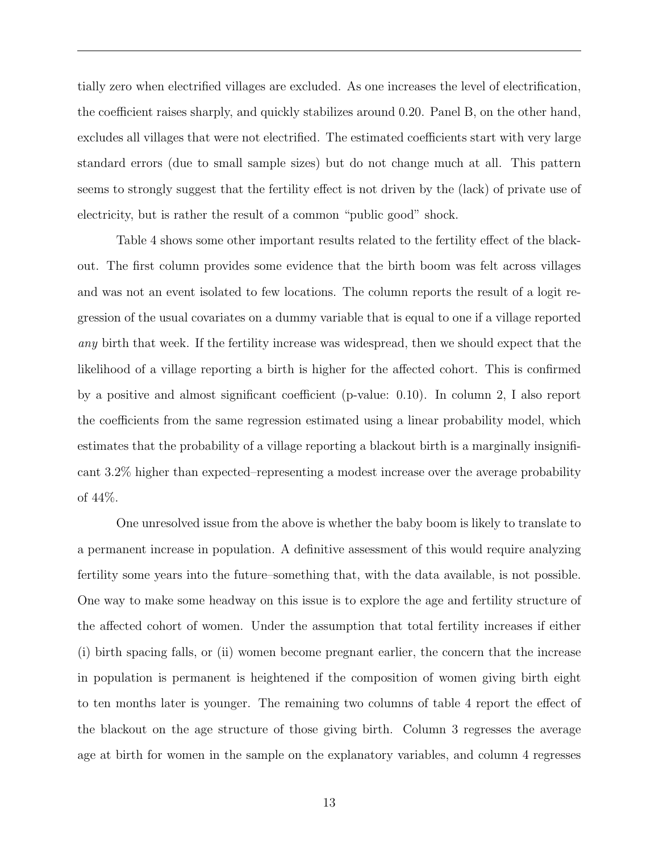tially zero when electrified villages are excluded. As one increases the level of electrification, the coefficient raises sharply, and quickly stabilizes around 0.20. Panel B, on the other hand, excludes all villages that were not electrified. The estimated coefficients start with very large standard errors (due to small sample sizes) but do not change much at all. This pattern seems to strongly suggest that the fertility effect is not driven by the (lack) of private use of electricity, but is rather the result of a common "public good" shock.

Table 4 shows some other important results related to the fertility effect of the blackout. The first column provides some evidence that the birth boom was felt across villages and was not an event isolated to few locations. The column reports the result of a logit regression of the usual covariates on a dummy variable that is equal to one if a village reported any birth that week. If the fertility increase was widespread, then we should expect that the likelihood of a village reporting a birth is higher for the affected cohort. This is confirmed by a positive and almost significant coefficient (p-value: 0.10). In column 2, I also report the coefficients from the same regression estimated using a linear probability model, which estimates that the probability of a village reporting a blackout birth is a marginally insignificant 3.2% higher than expected–representing a modest increase over the average probability of 44%.

One unresolved issue from the above is whether the baby boom is likely to translate to a permanent increase in population. A definitive assessment of this would require analyzing fertility some years into the future–something that, with the data available, is not possible. One way to make some headway on this issue is to explore the age and fertility structure of the affected cohort of women. Under the assumption that total fertility increases if either (i) birth spacing falls, or (ii) women become pregnant earlier, the concern that the increase in population is permanent is heightened if the composition of women giving birth eight to ten months later is younger. The remaining two columns of table 4 report the effect of the blackout on the age structure of those giving birth. Column 3 regresses the average age at birth for women in the sample on the explanatory variables, and column 4 regresses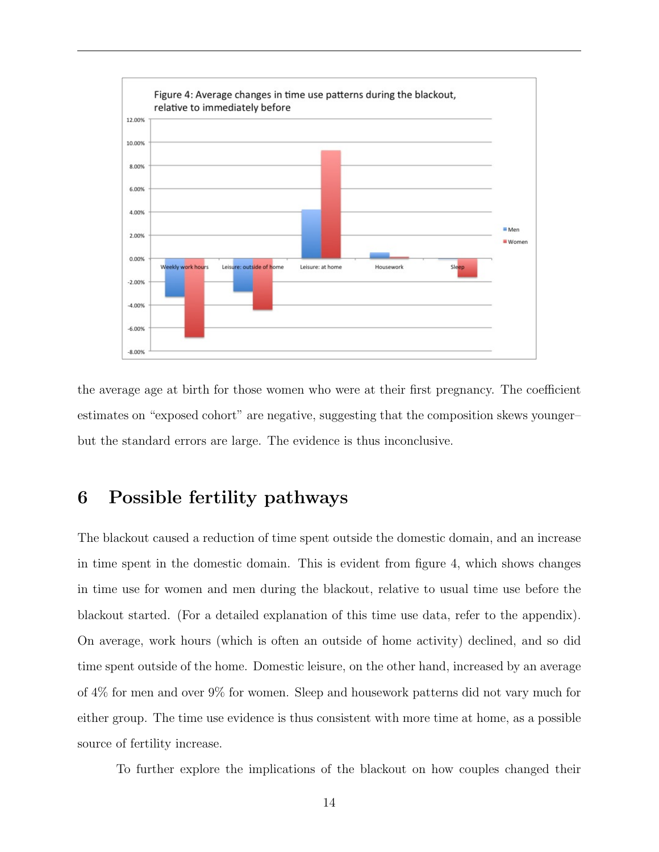

the average age at birth for those women who were at their first pregnancy. The coefficient estimates on "exposed cohort" are negative, suggesting that the composition skews younger– but the standard errors are large. The evidence is thus inconclusive.

## <span id="page-13-0"></span>6 Possible fertility pathways

The blackout caused a reduction of time spent outside the domestic domain, and an increase in time spent in the domestic domain. This is evident from figure 4, which shows changes in time use for women and men during the blackout, relative to usual time use before the blackout started. (For a detailed explanation of this time use data, refer to the appendix). On average, work hours (which is often an outside of home activity) declined, and so did time spent outside of the home. Domestic leisure, on the other hand, increased by an average of 4% for men and over 9% for women. Sleep and housework patterns did not vary much for either group. The time use evidence is thus consistent with more time at home, as a possible source of fertility increase.

To further explore the implications of the blackout on how couples changed their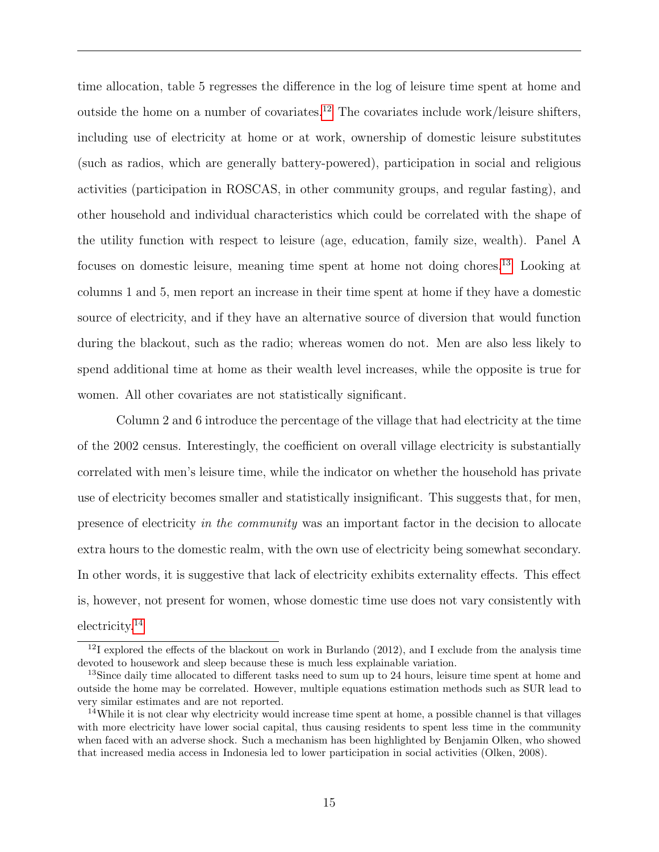time allocation, table 5 regresses the difference in the log of leisure time spent at home and outside the home on a number of covariates.<sup>[12](#page-0-0)</sup> The covariates include work/leisure shifters, including use of electricity at home or at work, ownership of domestic leisure substitutes (such as radios, which are generally battery-powered), participation in social and religious activities (participation in ROSCAS, in other community groups, and regular fasting), and other household and individual characteristics which could be correlated with the shape of the utility function with respect to leisure (age, education, family size, wealth). Panel A focuses on domestic leisure, meaning time spent at home not doing chores.[13](#page-0-0) Looking at columns 1 and 5, men report an increase in their time spent at home if they have a domestic source of electricity, and if they have an alternative source of diversion that would function during the blackout, such as the radio; whereas women do not. Men are also less likely to spend additional time at home as their wealth level increases, while the opposite is true for women. All other covariates are not statistically significant.

Column 2 and 6 introduce the percentage of the village that had electricity at the time of the 2002 census. Interestingly, the coefficient on overall village electricity is substantially correlated with men's leisure time, while the indicator on whether the household has private use of electricity becomes smaller and statistically insignificant. This suggests that, for men, presence of electricity in the community was an important factor in the decision to allocate extra hours to the domestic realm, with the own use of electricity being somewhat secondary. In other words, it is suggestive that lack of electricity exhibits externality effects. This effect is, however, not present for women, whose domestic time use does not vary consistently with electricity.[14](#page-0-0)

 $12I$  explored the effects of the blackout on work in Burlando (2012), and I exclude from the analysis time devoted to housework and sleep because these is much less explainable variation.

 $13\text{Since daily time allocated to different tasks need to sum up to 24 hours, leisure time spent at home and$ outside the home may be correlated. However, multiple equations estimation methods such as SUR lead to very similar estimates and are not reported.

<sup>&</sup>lt;sup>14</sup>While it is not clear why electricity would increase time spent at home, a possible channel is that villages with more electricity have lower social capital, thus causing residents to spent less time in the community when faced with an adverse shock. Such a mechanism has been highlighted by Benjamin Olken, who showed that increased media access in Indonesia led to lower participation in social activities (Olken, 2008).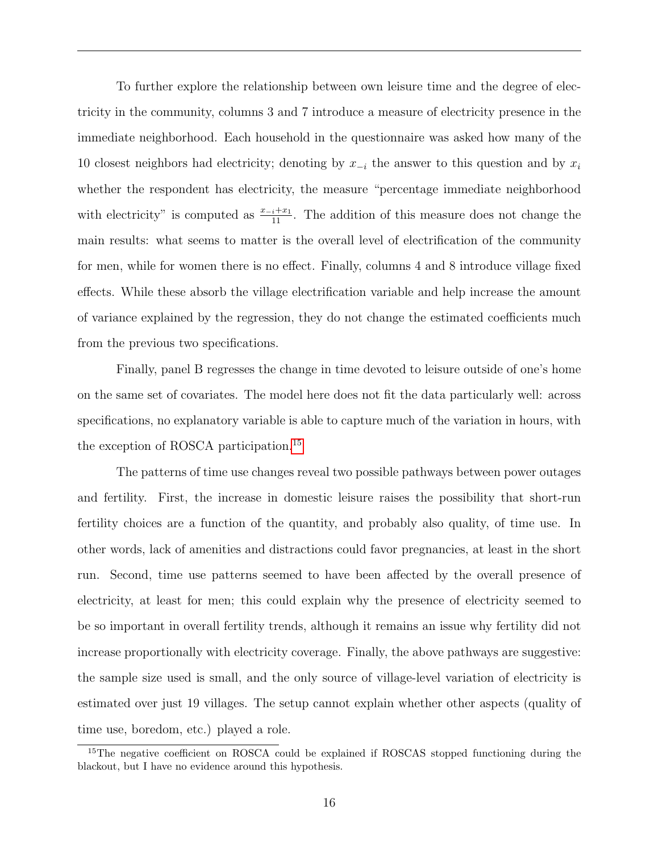To further explore the relationship between own leisure time and the degree of electricity in the community, columns 3 and 7 introduce a measure of electricity presence in the immediate neighborhood. Each household in the questionnaire was asked how many of the 10 closest neighbors had electricity; denoting by  $x_{-i}$  the answer to this question and by  $x_i$ whether the respondent has electricity, the measure "percentage immediate neighborhood with electricity" is computed as  $\frac{x-i+x_1}{11}$ . The addition of this measure does not change the main results: what seems to matter is the overall level of electrification of the community for men, while for women there is no effect. Finally, columns 4 and 8 introduce village fixed effects. While these absorb the village electrification variable and help increase the amount of variance explained by the regression, they do not change the estimated coefficients much from the previous two specifications.

Finally, panel B regresses the change in time devoted to leisure outside of one's home on the same set of covariates. The model here does not fit the data particularly well: across specifications, no explanatory variable is able to capture much of the variation in hours, with the exception of ROSCA participation.[15](#page-0-0)

The patterns of time use changes reveal two possible pathways between power outages and fertility. First, the increase in domestic leisure raises the possibility that short-run fertility choices are a function of the quantity, and probably also quality, of time use. In other words, lack of amenities and distractions could favor pregnancies, at least in the short run. Second, time use patterns seemed to have been affected by the overall presence of electricity, at least for men; this could explain why the presence of electricity seemed to be so important in overall fertility trends, although it remains an issue why fertility did not increase proportionally with electricity coverage. Finally, the above pathways are suggestive: the sample size used is small, and the only source of village-level variation of electricity is estimated over just 19 villages. The setup cannot explain whether other aspects (quality of time use, boredom, etc.) played a role.

<sup>&</sup>lt;sup>15</sup>The negative coefficient on ROSCA could be explained if ROSCAS stopped functioning during the blackout, but I have no evidence around this hypothesis.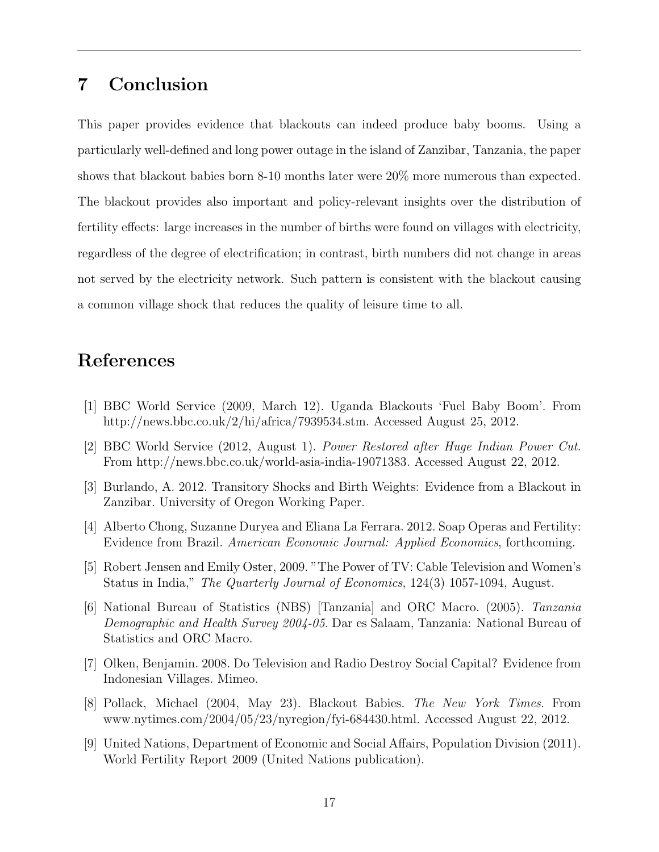## <span id="page-16-0"></span>7 Conclusion

This paper provides evidence that blackouts can indeed produce baby booms. Using a particularly well-defined and long power outage in the island of Zanzibar, Tanzania, the paper shows that blackout babies born 8-10 months later were 20% more numerous than expected. The blackout provides also important and policy-relevant insights over the distribution of fertility effects: large increases in the number of births were found on villages with electricity, regardless of the degree of electrification; in contrast, birth numbers did not change in areas not served by the electricity network. Such pattern is consistent with the blackout causing a common village shock that reduces the quality of leisure time to all.

### References

- [1] BBC World Service (2009, March 12). Uganda Blackouts 'Fuel Baby Boom'. From http://news.bbc.co.uk/2/hi/africa/7939534.stm. Accessed August 25, 2012.
- [2] BBC World Service (2012, August 1). Power Restored after Huge Indian Power Cut. From http://news.bbc.co.uk/world-asia-india-19071383. Accessed August 22, 2012.
- [3] Burlando, A. 2012. Transitory Shocks and Birth Weights: Evidence from a Blackout in Zanzibar. University of Oregon Working Paper.
- [4] Alberto Chong, Suzanne Duryea and Eliana La Ferrara. 2012. Soap Operas and Fertility: Evidence from Brazil. American Economic Journal: Applied Economics, forthcoming.
- [5] Robert Jensen and Emily Oster, 2009. "The Power of TV: Cable Television and Women's Status in India," The Quarterly Journal of Economics, 124(3) 1057-1094, August.
- [6] National Bureau of Statistics (NBS) [Tanzania] and ORC Macro. (2005). Tanzania Demographic and Health Survey 2004-05. Dar es Salaam, Tanzania: National Bureau of Statistics and ORC Macro.
- [7] Olken, Benjamin. 2008. Do Television and Radio Destroy Social Capital? Evidence from Indonesian Villages. Mimeo.
- [8] Pollack, Michael (2004, May 23). Blackout Babies. The New York Times. From www.nytimes.com/2004/05/23/nyregion/fyi-684430.html. Accessed August 22, 2012.
- [9] United Nations, Department of Economic and Social Affairs, Population Division (2011). World Fertility Report 2009 (United Nations publication).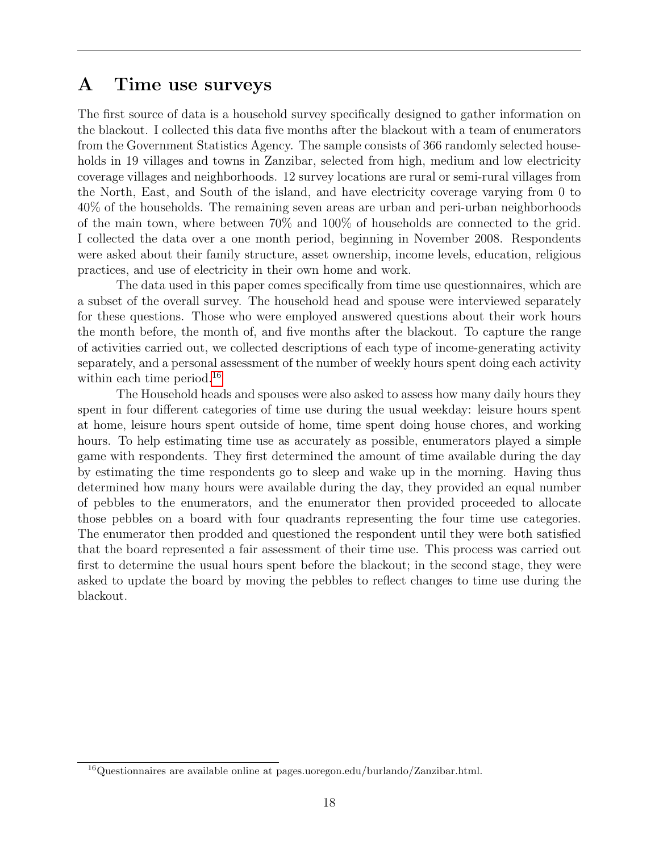## A Time use surveys

The first source of data is a household survey specifically designed to gather information on the blackout. I collected this data five months after the blackout with a team of enumerators from the Government Statistics Agency. The sample consists of 366 randomly selected households in 19 villages and towns in Zanzibar, selected from high, medium and low electricity coverage villages and neighborhoods. 12 survey locations are rural or semi-rural villages from the North, East, and South of the island, and have electricity coverage varying from 0 to 40% of the households. The remaining seven areas are urban and peri-urban neighborhoods of the main town, where between 70% and 100% of households are connected to the grid. I collected the data over a one month period, beginning in November 2008. Respondents were asked about their family structure, asset ownership, income levels, education, religious practices, and use of electricity in their own home and work.

The data used in this paper comes specifically from time use questionnaires, which are a subset of the overall survey. The household head and spouse were interviewed separately for these questions. Those who were employed answered questions about their work hours the month before, the month of, and five months after the blackout. To capture the range of activities carried out, we collected descriptions of each type of income-generating activity separately, and a personal assessment of the number of weekly hours spent doing each activity within each time period.<sup>[16](#page-0-0)</sup>

The Household heads and spouses were also asked to assess how many daily hours they spent in four different categories of time use during the usual weekday: leisure hours spent at home, leisure hours spent outside of home, time spent doing house chores, and working hours. To help estimating time use as accurately as possible, enumerators played a simple game with respondents. They first determined the amount of time available during the day by estimating the time respondents go to sleep and wake up in the morning. Having thus determined how many hours were available during the day, they provided an equal number of pebbles to the enumerators, and the enumerator then provided proceeded to allocate those pebbles on a board with four quadrants representing the four time use categories. The enumerator then prodded and questioned the respondent until they were both satisfied that the board represented a fair assessment of their time use. This process was carried out first to determine the usual hours spent before the blackout; in the second stage, they were asked to update the board by moving the pebbles to reflect changes to time use during the blackout.

<sup>16</sup>Questionnaires are available online at pages.uoregon.edu/burlando/Zanzibar.html.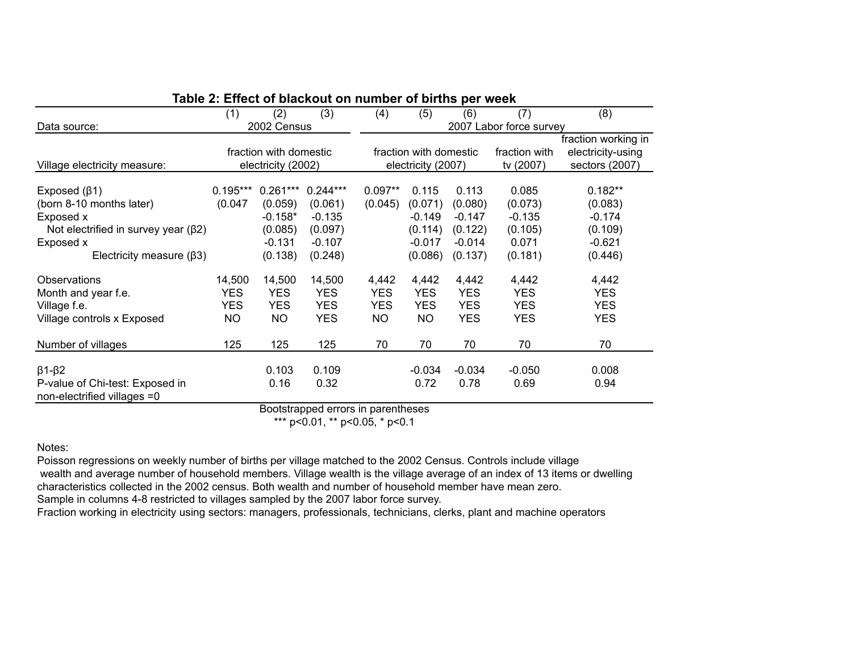| PVI ITVUIT                                                     |            |                        |            |            |                        |            |                         |                     |
|----------------------------------------------------------------|------------|------------------------|------------|------------|------------------------|------------|-------------------------|---------------------|
|                                                                | (1)        | (2)                    | (3)        | (4)        | (5)                    | (6)        | (7)                     | (8)                 |
| Data source:                                                   |            | 2002 Census            |            |            |                        |            | 2007 Labor force survey |                     |
|                                                                |            |                        |            |            |                        |            |                         | fraction working in |
|                                                                |            | fraction with domestic |            |            | fraction with domestic |            | fraction with           | electricity-using   |
| Village electricity measure:                                   |            | electricity (2002)     |            |            | electricity (2007)     |            | tv (2007)               | sectors (2007)      |
|                                                                |            |                        |            |            |                        |            |                         |                     |
| Exposed $(\beta 1)$                                            | $0.195***$ | $0.261***$             | $0.244***$ | $0.097**$  | 0.115                  | 0.113      | 0.085                   | $0.182**$           |
| (born 8-10 months later)                                       | (0.047)    | (0.059)                | (0.061)    | (0.045)    | (0.071)                | (0.080)    | (0.073)                 | (0.083)             |
| Exposed x                                                      |            | $-0.158*$              | $-0.135$   |            | $-0.149$               | $-0.147$   | $-0.135$                | $-0.174$            |
| Not electrified in survey year $(\beta 2)$                     |            | (0.085)                | (0.097)    |            | (0.114)                | (0.122)    | (0.105)                 | (0.109)             |
| Exposed x                                                      |            | $-0.131$               | $-0.107$   |            | $-0.017$               | $-0.014$   | 0.071                   | $-0.621$            |
| Electricity measure $(\beta 3)$                                |            | (0.138)                | (0.248)    |            | (0.086)                | (0.137)    | (0.181)                 | (0.446)             |
| Observations                                                   | 14,500     | 14,500                 | 14,500     | 4,442      | 4,442                  | 4,442      | 4,442                   | 4,442               |
| Month and year f.e.                                            | <b>YES</b> | <b>YES</b>             | <b>YES</b> | <b>YES</b> | <b>YES</b>             | <b>YES</b> | <b>YES</b>              | <b>YES</b>          |
| Village f.e.                                                   | <b>YES</b> | <b>YES</b>             | <b>YES</b> | <b>YES</b> | <b>YES</b>             | <b>YES</b> | <b>YES</b>              | <b>YES</b>          |
| Village controls x Exposed                                     | <b>NO</b>  | <b>NO</b>              | <b>YES</b> | <b>NO</b>  | <b>NO</b>              | <b>YES</b> | <b>YES</b>              | <b>YES</b>          |
| Number of villages                                             | 125        | 125                    | 125        | 70         | 70                     | 70         | 70                      | 70                  |
|                                                                |            | 0.103                  | 0.109      |            | $-0.034$               | $-0.034$   | $-0.050$                | 0.008               |
| $\beta$ 1- $\beta$ 2                                           |            |                        |            |            |                        |            |                         |                     |
| P-value of Chi-test: Exposed in<br>non-electrified villages =0 |            | 0.16                   | 0.32       |            | 0.72                   | 0.78       | 0.69                    | 0.94                |

### **Table 2: Effect of blackout on number of births per week**

Bootstrapped errors in parentheses

\*\*\* p<0.01, \*\* p<0.05, \* p<0.1

Notes:

Poisson regressions on weekly number of births per village matched to the 2002 Census. Controls include village wealth and average number of household members. Village wealth is the village average of an index of 13 items or dwelling characteristics collected in the 2002 census. Both wealth and number of household member have mean zero. Sample in columns 4-8 restricted to villages sampled by the 2007 labor force survey.

Fraction working in electricity using sectors: managers, professionals, technicians, clerks, plant and machine operators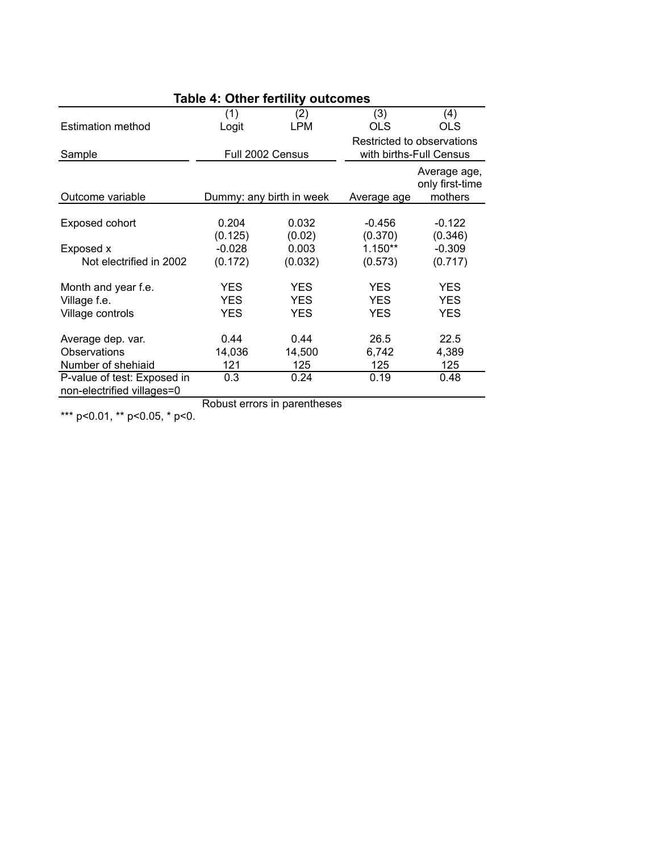| Table 4: Other fertility outcomes |            |                          |                                                       |                                            |  |
|-----------------------------------|------------|--------------------------|-------------------------------------------------------|--------------------------------------------|--|
|                                   | (1)        | (2)                      | (3)                                                   | (4)                                        |  |
| <b>Estimation method</b>          | Logit      | LPM                      | <b>OLS</b>                                            | <b>OLS</b>                                 |  |
| Sample                            |            | Full 2002 Census         | Restricted to observations<br>with births-Full Census |                                            |  |
| Outcome variable                  |            | Dummy: any birth in week | Average age                                           | Average age,<br>only first-time<br>mothers |  |
|                                   |            |                          |                                                       |                                            |  |
| Exposed cohort                    | 0.204      | 0.032                    | $-0.456$                                              | $-0.122$                                   |  |
|                                   | (0.125)    | (0.02)                   | (0.370)                                               | (0.346)                                    |  |
| Exposed x                         | $-0.028$   | 0.003                    | $1.150**$                                             | $-0.309$                                   |  |
| Not electrified in 2002           | (0.172)    | (0.032)                  | (0.573)                                               | (0.717)                                    |  |
| Month and year f.e.               | <b>YES</b> | <b>YES</b>               | <b>YES</b>                                            | <b>YES</b>                                 |  |
| Village f.e.                      | <b>YES</b> | <b>YES</b>               | <b>YES</b>                                            | <b>YES</b>                                 |  |
| Village controls                  | YES        | YES                      | <b>YES</b>                                            | YES                                        |  |
| Average dep. var.                 | 0.44       | 0.44                     | 26.5                                                  | 22.5                                       |  |
| Observations                      | 14,036     | 14,500                   | 6,742                                                 | 4,389                                      |  |
| Number of shehiaid                | 121        | 125                      | 125                                                   | 125                                        |  |
| P-value of test: Exposed in       | 0.3        | 0.24                     | 0.19                                                  | 0.48                                       |  |
| non-electrified villages=0        |            |                          |                                                       |                                            |  |

Robust errors in parentheses

\*\*\* p<0.01, \*\* p<0.05, \* p<0.